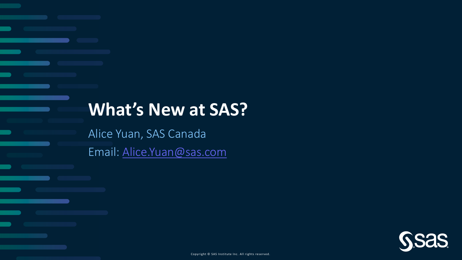## **What's New at SAS?**

Alice Yuan, SAS Canada

Email: [Alice.Yuan@sas.com](mailto:Alice.Yuan@sas.com)

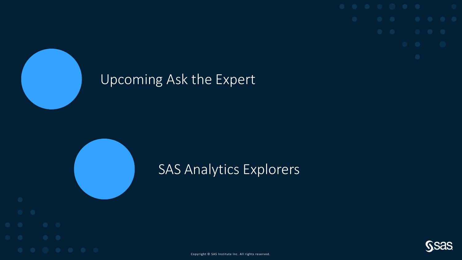### Upcoming Ask the Expert







Copyright © SAS Institute Inc. All rights reserved.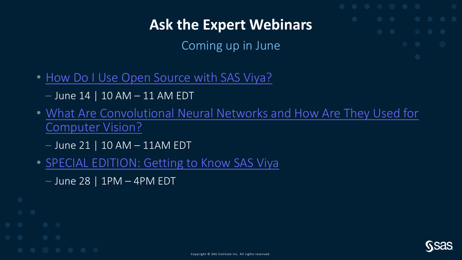### **Ask the Expert Webinars**

Coming up in June

- [How Do I Use Open Source with SAS Viya?](https://www.sas.com/en_us/webinars/use-open-source-with-viya.html)
	- $-$  June 14 | 10 AM  $-$  11 AM EDT
- [What Are Convolutional Neural Networks and How Are They Used for](https://www.sas.com/en_us/webinars/convolutional-neural-networks.html)  Computer Vision?
	- $-$  June 21 | 10 AM  $-$  11AM EDT
- [SPECIAL EDITION: Getting to Know SAS Viya](https://www.sas.com/en_us/webinars/getting-to-know-sas-viya.html)
	- $-$  June 28 | 1PM  $-$  4PM EDT

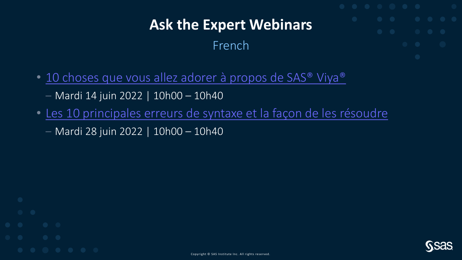### **Ask the Expert Webinars**

#### French

- 10 choses que vous allez adorer à propos de SAS<sup>®</sup> Viya<sup>®</sup> – Mardi 14 juin 2022 | 10h00 – 10h40
- [Les 10 principales erreurs de syntaxe et la façon de les résoudre](https://www.sas.com/fr_fr/webinars/les-10-principales-erreurs-de-syntaxe-et-la-facon-de-les-resoudre.html) – Mardi 28 juin 2022 | 10h00 – 10h40

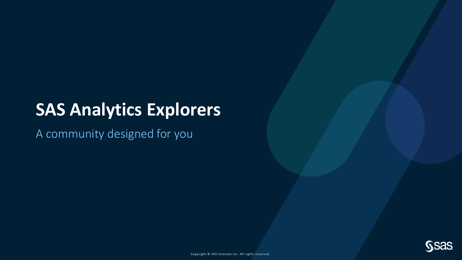## **SAS Analytics Explorers**

A community designed for you

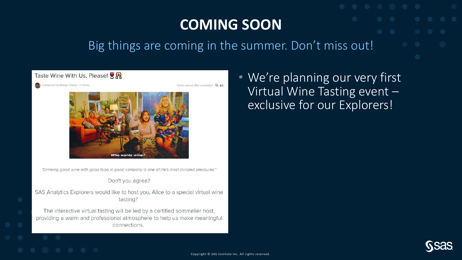### **COMING SOON**

#### Big things are coming in the summer. Don't miss out!



### • We're planning our very first Virtual Wine Tasting event – exclusive for our Explorers!

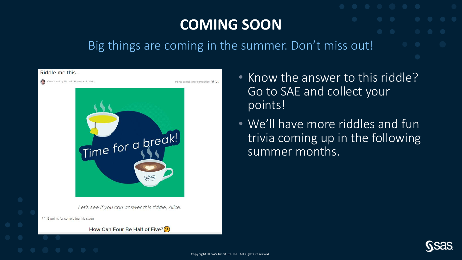### **COMING SOON**

#### Big things are coming in the summer. Don't miss out!



- Know the answer to this riddle? Go to SAE and collect your points!
- We'll have more riddles and fun trivia coming up in the following summer months.

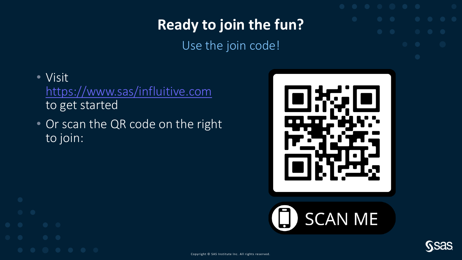## **Ready to join the fun?**

Use the join code!

- Visit <https://www.sas/influitive.com> to get started
- Or scan the QR code on the right to join:







Copyright © SAS Institute Inc. All rights reserved.